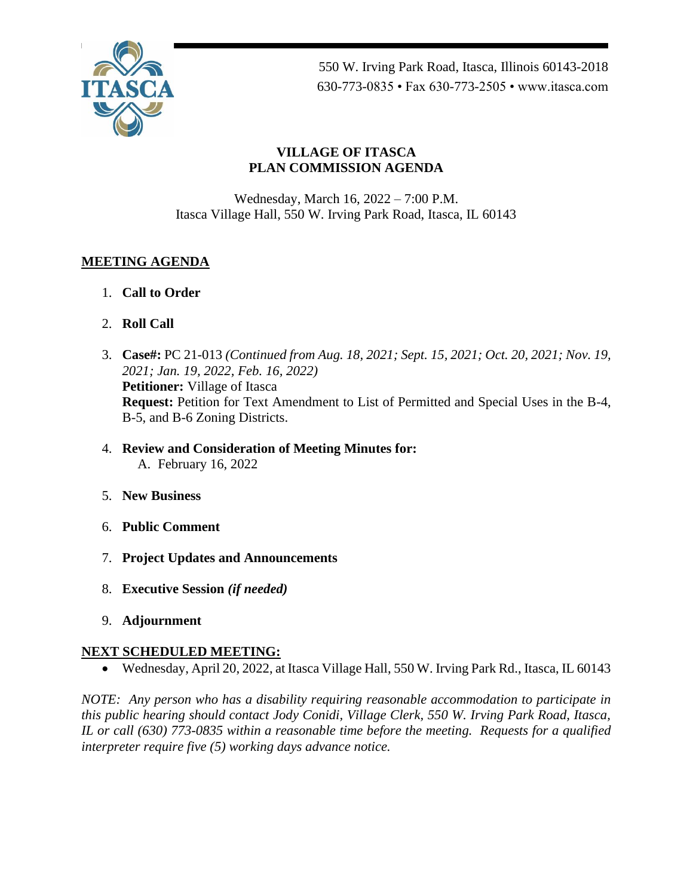

550 W. Irving Park Road, Itasca, Illinois 60143-2018 630-773-0835 • Fax 630-773-2505 • www.itasca.com

### **VILLAGE OF ITASCA PLAN COMMISSION AGENDA**

Wednesday, March 16, 2022 – 7:00 P.M. Itasca Village Hall, 550 W. Irving Park Road, Itasca, IL 60143

# **MEETING AGENDA**

- 1. **Call to Order**
- 2. **Roll Call**
- 3. **Case#:** PC 21-013 *(Continued from Aug. 18, 2021; Sept. 15, 2021; Oct. 20, 2021; Nov. 19, 2021; Jan. 19, 2022, Feb. 16, 2022)* **Petitioner:** Village of Itasca **Request:** Petition for Text Amendment to List of Permitted and Special Uses in the B-4, B-5, and B-6 Zoning Districts.
- 4. **Review and Consideration of Meeting Minutes for:** A. February 16, 2022
- 5. **New Business**
- 6. **Public Comment**
- 7. **Project Updates and Announcements**
- 8. **Executive Session** *(if needed)*
- 9. **Adjournment**

### **NEXT SCHEDULED MEETING:**

• Wednesday, April 20, 2022, at Itasca Village Hall, 550 W. Irving Park Rd., Itasca, IL 60143

*NOTE: Any person who has a disability requiring reasonable accommodation to participate in this public hearing should contact Jody Conidi, Village Clerk, 550 W. Irving Park Road, Itasca, IL or call (630) 773-0835 within a reasonable time before the meeting. Requests for a qualified interpreter require five (5) working days advance notice.*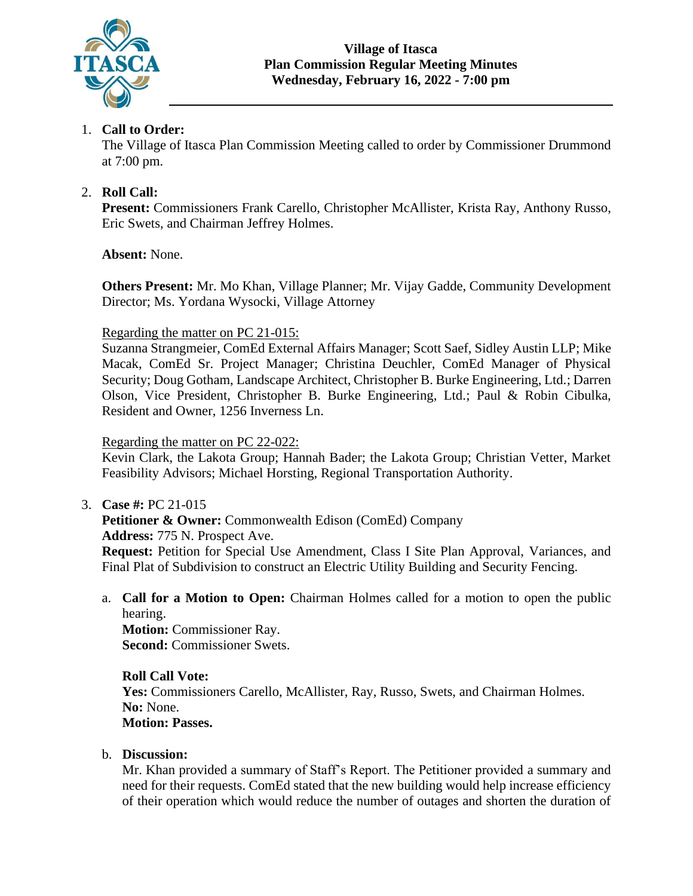

# 1. **Call to Order:**

The Village of Itasca Plan Commission Meeting called to order by Commissioner Drummond at 7:00 pm.

### 2. **Roll Call:**

**Present:** Commissioners Frank Carello, Christopher McAllister, Krista Ray, Anthony Russo, Eric Swets, and Chairman Jeffrey Holmes.

### **Absent:** None.

**Others Present:** Mr. Mo Khan, Village Planner; Mr. Vijay Gadde, Community Development Director; Ms. Yordana Wysocki, Village Attorney

#### Regarding the matter on PC 21-015:

Suzanna Strangmeier, ComEd External Affairs Manager; Scott Saef, Sidley Austin LLP; Mike Macak, ComEd Sr. Project Manager; Christina Deuchler, ComEd Manager of Physical Security; Doug Gotham, Landscape Architect, Christopher B. Burke Engineering, Ltd.; Darren Olson, Vice President, Christopher B. Burke Engineering, Ltd.; Paul & Robin Cibulka, Resident and Owner, 1256 Inverness Ln.

### Regarding the matter on PC 22-022:

Kevin Clark, the Lakota Group; Hannah Bader; the Lakota Group; Christian Vetter, Market Feasibility Advisors; Michael Horsting, Regional Transportation Authority.

3. **Case #:** PC 21-015

**Petitioner & Owner:** Commonwealth Edison (ComEd) Company **Address:** 775 N. Prospect Ave. **Request:** Petition for Special Use Amendment, Class I Site Plan Approval, Variances, and Final Plat of Subdivision to construct an Electric Utility Building and Security Fencing.

a. **Call for a Motion to Open:** Chairman Holmes called for a motion to open the public hearing. **Motion:** Commissioner Ray.

**Second:** Commissioner Swets.

# **Roll Call Vote:**

Yes: Commissioners Carello, McAllister, Ray, Russo, Swets, and Chairman Holmes. **No:** None. **Motion: Passes.**

### b. **Discussion:**

Mr. Khan provided a summary of Staff's Report. The Petitioner provided a summary and need for their requests. ComEd stated that the new building would help increase efficiency of their operation which would reduce the number of outages and shorten the duration of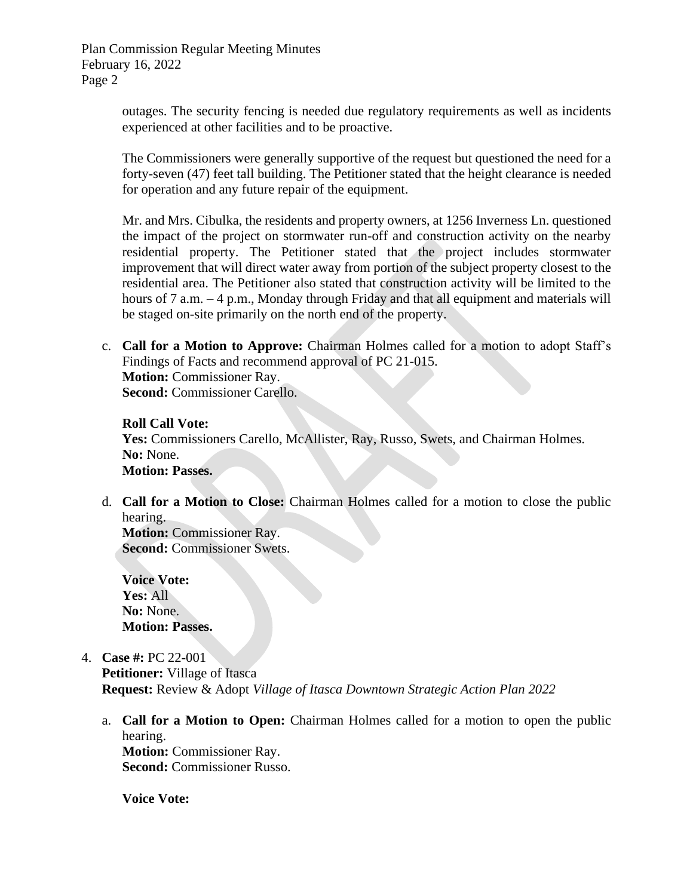> outages. The security fencing is needed due regulatory requirements as well as incidents experienced at other facilities and to be proactive.

> The Commissioners were generally supportive of the request but questioned the need for a forty-seven (47) feet tall building. The Petitioner stated that the height clearance is needed for operation and any future repair of the equipment.

> Mr. and Mrs. Cibulka, the residents and property owners, at 1256 Inverness Ln. questioned the impact of the project on stormwater run-off and construction activity on the nearby residential property. The Petitioner stated that the project includes stormwater improvement that will direct water away from portion of the subject property closest to the residential area. The Petitioner also stated that construction activity will be limited to the hours of 7 a.m. – 4 p.m., Monday through Friday and that all equipment and materials will be staged on-site primarily on the north end of the property.

c. **Call for a Motion to Approve:** Chairman Holmes called for a motion to adopt Staff's Findings of Facts and recommend approval of PC 21-015. **Motion:** Commissioner Ray. **Second:** Commissioner Carello.

#### **Roll Call Vote:**

Yes: Commissioners Carello, McAllister, Ray, Russo, Swets, and Chairman Holmes. **No:** None. **Motion: Passes.**

d. **Call for a Motion to Close:** Chairman Holmes called for a motion to close the public hearing.

**Motion:** Commissioner Ray. **Second:** Commissioner Swets.

**Voice Vote: Yes:** All **No:** None. **Motion: Passes.**

4. **Case #:** PC 22-001

**Petitioner:** Village of Itasca **Request:** Review & Adopt *Village of Itasca Downtown Strategic Action Plan 2022*

a. **Call for a Motion to Open:** Chairman Holmes called for a motion to open the public hearing. **Motion:** Commissioner Ray.

**Second:** Commissioner Russo.

**Voice Vote:**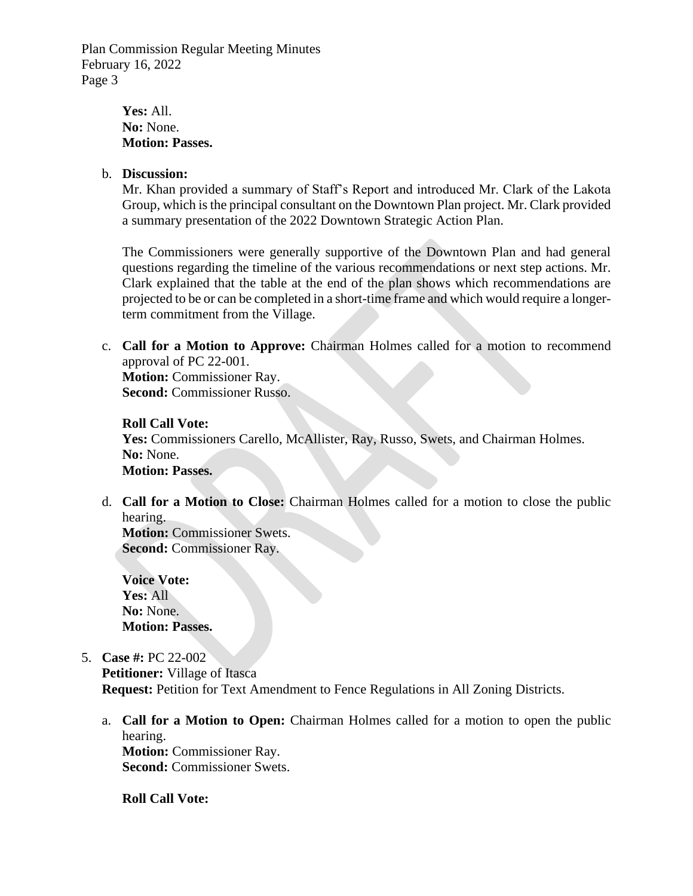> **Yes:** All. **No:** None. **Motion: Passes.**

#### b. **Discussion:**

Mr. Khan provided a summary of Staff's Report and introduced Mr. Clark of the Lakota Group, which is the principal consultant on the Downtown Plan project. Mr. Clark provided a summary presentation of the 2022 Downtown Strategic Action Plan.

The Commissioners were generally supportive of the Downtown Plan and had general questions regarding the timeline of the various recommendations or next step actions. Mr. Clark explained that the table at the end of the plan shows which recommendations are projected to be or can be completed in a short-time frame and which would require a longerterm commitment from the Village.

c. **Call for a Motion to Approve:** Chairman Holmes called for a motion to recommend approval of PC 22-001. **Motion:** Commissioner Ray.

**Second:** Commissioner Russo.

#### **Roll Call Vote:**

Yes: Commissioners Carello, McAllister, Ray, Russo, Swets, and Chairman Holmes. **No:** None. **Motion: Passes.**

d. **Call for a Motion to Close:** Chairman Holmes called for a motion to close the public hearing.

**Motion:** Commissioner Swets. **Second:** Commissioner Ray.

**Voice Vote: Yes:** All **No:** None. **Motion: Passes.**

5. **Case #:** PC 22-002

**Petitioner:** Village of Itasca **Request:** Petition for Text Amendment to Fence Regulations in All Zoning Districts.

a. **Call for a Motion to Open:** Chairman Holmes called for a motion to open the public hearing. **Motion:** Commissioner Ray.

**Second:** Commissioner Swets.

**Roll Call Vote:**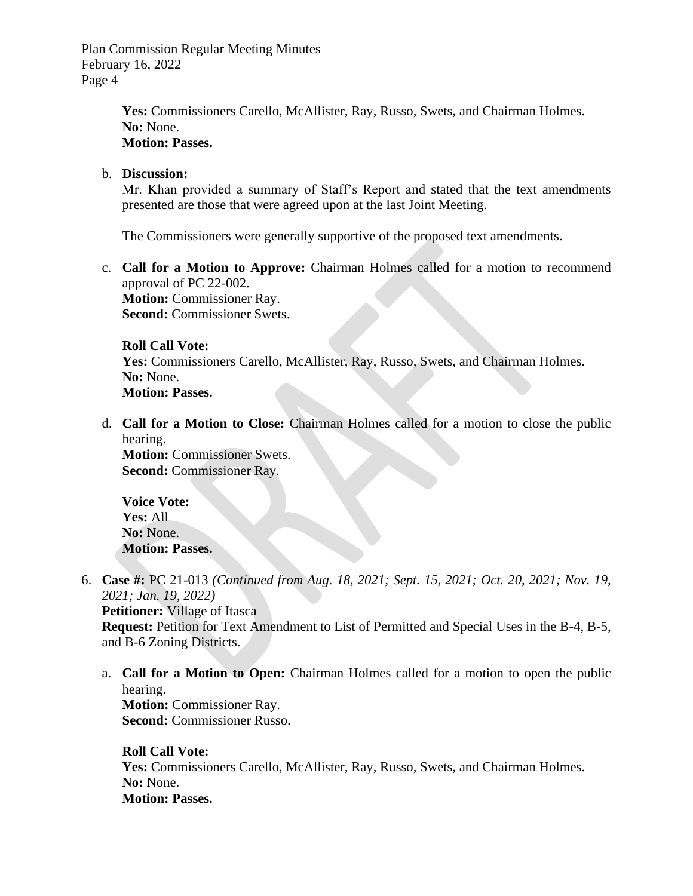> Yes: Commissioners Carello, McAllister, Ray, Russo, Swets, and Chairman Holmes. **No:** None. **Motion: Passes.**

### b. **Discussion:**

Mr. Khan provided a summary of Staff's Report and stated that the text amendments presented are those that were agreed upon at the last Joint Meeting.

The Commissioners were generally supportive of the proposed text amendments.

c. **Call for a Motion to Approve:** Chairman Holmes called for a motion to recommend approval of PC 22-002. **Motion:** Commissioner Ray.

**Second:** Commissioner Swets.

#### **Roll Call Vote:**

Yes: Commissioners Carello, McAllister, Ray, Russo, Swets, and Chairman Holmes. **No:** None. **Motion: Passes.**

d. **Call for a Motion to Close:** Chairman Holmes called for a motion to close the public hearing.

**Motion:** Commissioner Swets. **Second:** Commissioner Ray.

**Voice Vote: Yes:** All **No:** None. **Motion: Passes.**

- 6. **Case #:** PC 21-013 *(Continued from Aug. 18, 2021; Sept. 15, 2021; Oct. 20, 2021; Nov. 19, 2021; Jan. 19, 2022)* **Petitioner:** Village of Itasca **Request:** Petition for Text Amendment to List of Permitted and Special Uses in the B-4, B-5, and B-6 Zoning Districts.
	- a. **Call for a Motion to Open:** Chairman Holmes called for a motion to open the public hearing. **Motion:** Commissioner Ray. **Second:** Commissioner Russo.

**Roll Call Vote:** Yes: Commissioners Carello, McAllister, Ray, Russo, Swets, and Chairman Holmes. **No:** None. **Motion: Passes.**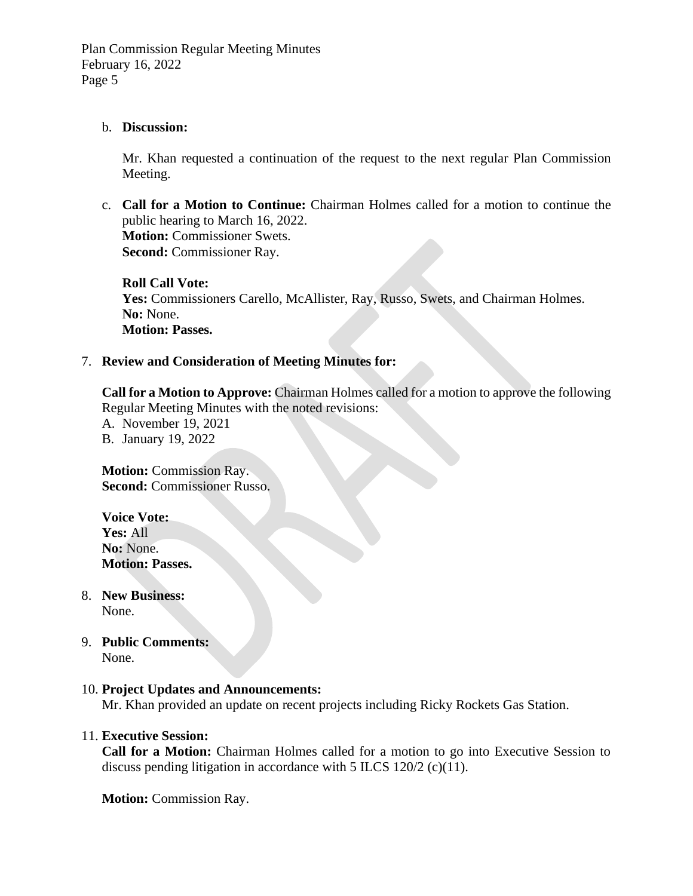#### b. **Discussion:**

Mr. Khan requested a continuation of the request to the next regular Plan Commission Meeting.

c. **Call for a Motion to Continue:** Chairman Holmes called for a motion to continue the public hearing to March 16, 2022. **Motion:** Commissioner Swets. **Second:** Commissioner Ray.

**Roll Call Vote:** Yes: Commissioners Carello, McAllister, Ray, Russo, Swets, and Chairman Holmes. No: None. **Motion: Passes.**

#### 7. **Review and Consideration of Meeting Minutes for:**

**Call for a Motion to Approve:** Chairman Holmes called for a motion to approve the following Regular Meeting Minutes with the noted revisions:

- A. November 19, 2021
- B. January 19, 2022

**Motion:** Commission Ray. **Second:** Commissioner Russo.

**Voice Vote: Yes:** All **No:** None. **Motion: Passes.**

- 8. **New Business:** None.
- 9. **Public Comments:**  None.

#### 10. **Project Updates and Announcements:**

Mr. Khan provided an update on recent projects including Ricky Rockets Gas Station.

#### 11. **Executive Session:**

**Call for a Motion:** Chairman Holmes called for a motion to go into Executive Session to discuss pending litigation in accordance with 5 ILCS 120/2 (c)(11).

**Motion:** Commission Ray.